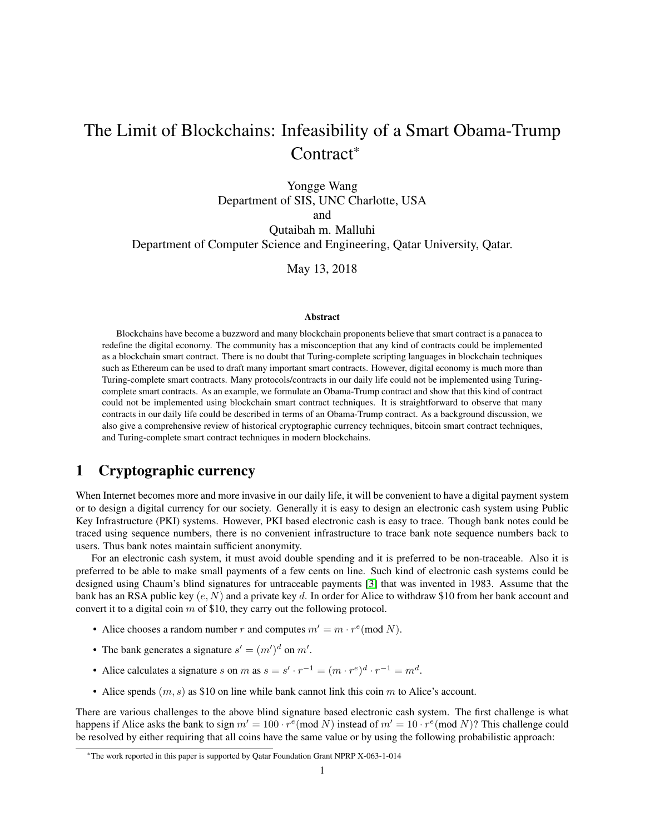# The Limit of Blockchains: Infeasibility of a Smart Obama-Trump Contract\*

Yongge Wang Department of SIS, UNC Charlotte, USA and

Qutaibah m. Malluhi Department of Computer Science and Engineering, Qatar University, Qatar.

May 13, 2018

#### Abstract

Blockchains have become a buzzword and many blockchain proponents believe that smart contract is a panacea to redefine the digital economy. The community has a misconception that any kind of contracts could be implemented as a blockchain smart contract. There is no doubt that Turing-complete scripting languages in blockchain techniques such as Ethereum can be used to draft many important smart contracts. However, digital economy is much more than Turing-complete smart contracts. Many protocols/contracts in our daily life could not be implemented using Turingcomplete smart contracts. As an example, we formulate an Obama-Trump contract and show that this kind of contract could not be implemented using blockchain smart contract techniques. It is straightforward to observe that many contracts in our daily life could be described in terms of an Obama-Trump contract. As a background discussion, we also give a comprehensive review of historical cryptographic currency techniques, bitcoin smart contract techniques, and Turing-complete smart contract techniques in modern blockchains.

# 1 Cryptographic currency

When Internet becomes more and more invasive in our daily life, it will be convenient to have a digital payment system or to design a digital currency for our society. Generally it is easy to design an electronic cash system using Public Key Infrastructure (PKI) systems. However, PKI based electronic cash is easy to trace. Though bank notes could be traced using sequence numbers, there is no convenient infrastructure to trace bank note sequence numbers back to users. Thus bank notes maintain sufficient anonymity.

For an electronic cash system, it must avoid double spending and it is preferred to be non-traceable. Also it is preferred to be able to make small payments of a few cents on line. Such kind of electronic cash systems could be designed using Chaum's blind signatures for untraceable payments [\[3\]](#page-6-0) that was invented in 1983. Assume that the bank has an RSA public key  $(e, N)$  and a private key d. In order for Alice to withdraw \$10 from her bank account and convert it to a digital coin  $m$  of \$10, they carry out the following protocol.

- Alice chooses a random number r and computes  $m' = m \cdot r^e \pmod{N}$ .
- The bank generates a signature  $s' = (m')^d$  on m'.
- Alice calculates a signature s on m as  $s = s' \cdot r^{-1} = (m \cdot r^e)^d \cdot r^{-1} = m^d$ .
- Alice spends  $(m, s)$  as \$10 on line while bank cannot link this coin m to Alice's account.

There are various challenges to the above blind signature based electronic cash system. The first challenge is what happens if Alice asks the bank to sign  $m' = 100 \cdot r^e \pmod{N}$  instead of  $m' = 10 \cdot r^e \pmod{N}$ ? This challenge could be resolved by either requiring that all coins have the same value or by using the following probabilistic approach:

<sup>\*</sup>The work reported in this paper is supported by Qatar Foundation Grant NPRP X-063-1-014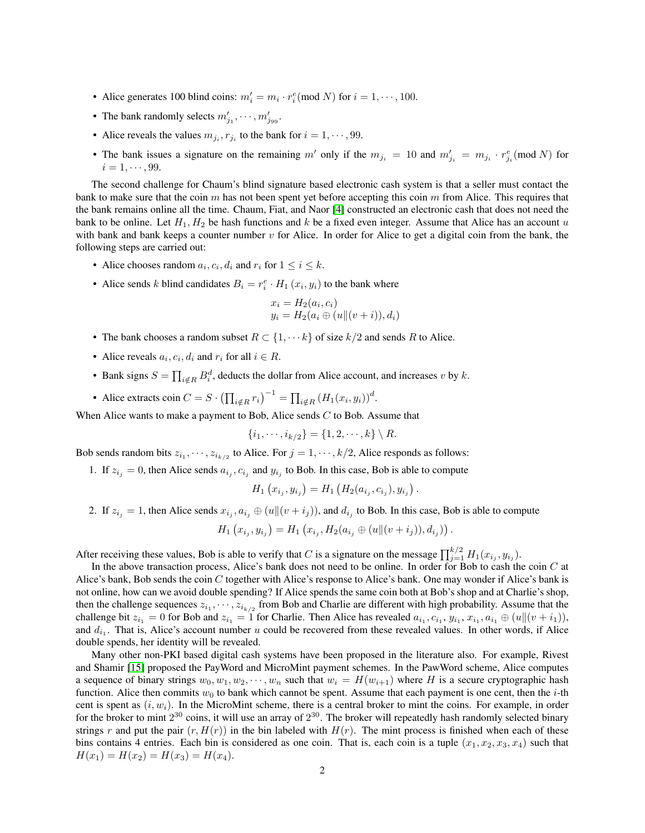- Alice generates 100 blind coins:  $m'_i = m_i \cdot r_i^e \pmod{N}$  for  $i = 1, \dots, 100$ .
- The bank randomly selects  $m'_{j_1}, \dots, m'_{j_{99}}$ .
- Alice reveals the values  $m_{j_i}, r_{j_i}$  to the bank for  $i = 1, \dots, 99$ .
- The bank issues a signature on the remaining m' only if the  $m_{j_i} = 10$  and  $m'_{j_i} = m_{j_i} \cdot r_{j_i}^e \pmod{N}$  for  $i = 1, \cdots, 99.$

The second challenge for Chaum's blind signature based electronic cash system is that a seller must contact the bank to make sure that the coin  $m$  has not been spent yet before accepting this coin  $m$  from Alice. This requires that the bank remains online all the time. Chaum, Fiat, and Naor [\[4\]](#page-6-1) constructed an electronic cash that does not need the bank to be online. Let  $H_1, H_2$  be hash functions and k be a fixed even integer. Assume that Alice has an account u with bank and bank keeps a counter number  $v$  for Alice. In order for Alice to get a digital coin from the bank, the following steps are carried out:

- Alice chooses random  $a_i, c_i, d_i$  and  $r_i$  for  $1 \le i \le k$ .
- Alice sends k blind candidates  $B_i = r_i^e \cdot H_1(x_i, y_i)$  to the bank where

$$
x_i = H_2(a_i, c_i)
$$
  

$$
y_i = H_2(a_i \oplus (u \parallel (v + i)), d_i)
$$

- The bank chooses a random subset  $R \subset \{1, \dots k\}$  of size  $k/2$  and sends R to Alice.
- Alice reveals  $a_i, c_i, d_i$  and  $r_i$  for all  $i \in R$ .
- Bank signs  $S = \prod_{i \notin R} B_i^d$ , deducts the dollar from Alice account, and increases v by k.
- Alice extracts coin  $C = S \cdot (\prod_{i \notin R} r_i)^{-1} = \prod_{i \notin R} (H_1(x_i, y_i))^d$ .

When Alice wants to make a payment to Bob, Alice sends  $C$  to Bob. Assume that

$$
\{i_1, \cdots, i_{k/2}\} = \{1, 2, \cdots, k\} \setminus R.
$$

Bob sends random bits  $z_{i_1}, \dots, z_{i_{k/2}}$  to Alice. For  $j = 1, \dots, k/2$ , Alice responds as follows:

1. If  $z_{i_j} = 0$ , then Alice sends  $a_{i_j}, c_{i_j}$  and  $y_{i_j}$  to Bob. In this case, Bob is able to compute

$$
H_1(x_{i_j}, y_{i_j}) = H_1(H_2(a_{i_j}, c_{i_j}), y_{i_j}).
$$

2. If  $z_{i_j} = 1$ , then Alice sends  $x_{i_j}, a_{i_j} \oplus (u \|(v + i_j))$ , and  $d_{i_j}$  to Bob. In this case, Bob is able to compute

$$
H_1(x_{i_j}, y_{i_j}) = H_1(x_{i_j}, H_2(a_{i_j} \oplus (u \Vert (v + i_j)), d_{i_j})).
$$

After receiving these values, Bob is able to verify that C is a signature on the message  $\prod_{j=1}^{k/2} H_1(x_{i_j}, y_{i_j})$ .

In the above transaction process, Alice's bank does not need to be online. In order for Bob to cash the coin  $C$  at Alice's bank, Bob sends the coin C together with Alice's response to Alice's bank. One may wonder if Alice's bank is not online, how can we avoid double spending? If Alice spends the same coin both at Bob's shop and at Charlie's shop, then the challenge sequences  $z_{i_1}, \dots, z_{i_{k/2}}$  from Bob and Charlie are different with high probability. Assume that the challenge bit  $z_{i_1} = 0$  for Bob and  $z_{i_1} = 1$  for Charlie. Then Alice has revealed  $a_{i_1}, c_{i_1}, y_{i_1}, x_{i_1}, a_{i_1} \oplus (u \|(v + i_1)),$ and  $d_{i_1}$ . That is, Alice's account number u could be recovered from these revealed values. In other words, if Alice double spends, her identity will be revealed.

Many other non-PKI based digital cash systems have been proposed in the literature also. For example, Rivest and Shamir [\[15\]](#page-6-2) proposed the PayWord and MicroMint payment schemes. In the PawWord scheme, Alice computes a sequence of binary strings  $w_0, w_1, w_2, \dots, w_n$  such that  $w_i = H(w_{i+1})$  where H is a secure cryptographic hash function. Alice then commits  $w_0$  to bank which cannot be spent. Assume that each payment is one cent, then the *i*-th cent is spent as  $(i, w_i)$ . In the MicroMint scheme, there is a central broker to mint the coins. For example, in order for the broker to mint  $2^{30}$  coins, it will use an array of  $2^{30}$ . The broker will repeatedly hash randomly selected binary strings r and put the pair  $(r, H(r))$  in the bin labeled with  $H(r)$ . The mint process is finished when each of these bins contains 4 entries. Each bin is considered as one coin. That is, each coin is a tuple  $(x_1, x_2, x_3, x_4)$  such that  $H(x_1) = H(x_2) = H(x_3) = H(x_4).$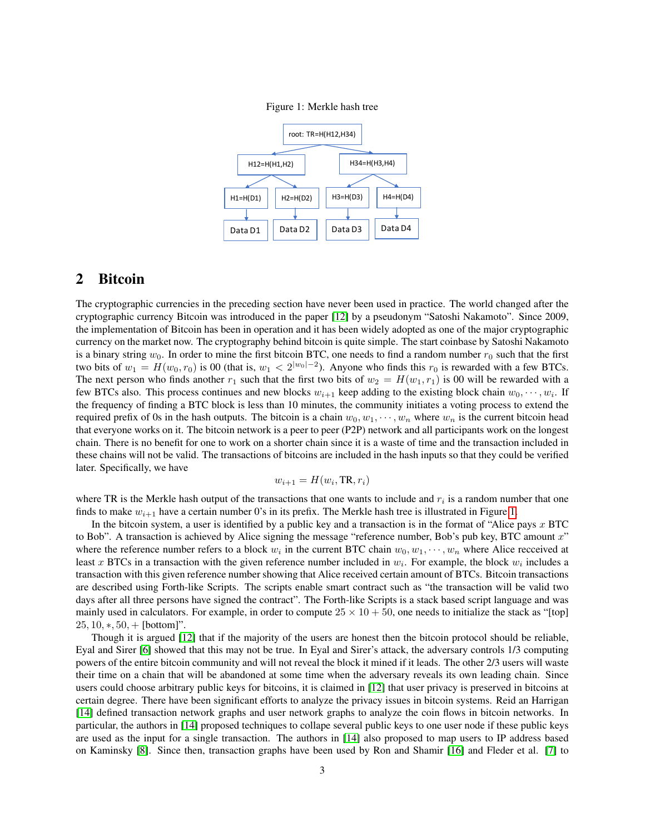<span id="page-2-0"></span>



## 2 Bitcoin

The cryptographic currencies in the preceding section have never been used in practice. The world changed after the cryptographic currency Bitcoin was introduced in the paper [\[12\]](#page-6-3) by a pseudonym "Satoshi Nakamoto". Since 2009, the implementation of Bitcoin has been in operation and it has been widely adopted as one of the major cryptographic currency on the market now. The cryptography behind bitcoin is quite simple. The start coinbase by Satoshi Nakamoto is a binary string  $w_0$ . In order to mine the first bitcoin BTC, one needs to find a random number  $r_0$  such that the first two bits of  $w_1 = H(w_0, r_0)$  is 00 (that is,  $w_1 < 2^{|w_0| - 2}$ ). Anyone who finds this  $r_0$  is rewarded with a few BTCs. The next person who finds another  $r_1$  such that the first two bits of  $w_2 = H(w_1, r_1)$  is 00 will be rewarded with a few BTCs also. This process continues and new blocks  $w_{i+1}$  keep adding to the existing block chain  $w_0, \dots, w_i$ . If the frequency of finding a BTC block is less than 10 minutes, the community initiates a voting process to extend the required prefix of 0s in the hash outputs. The bitcoin is a chain  $w_0, w_1, \dots, w_n$  where  $w_n$  is the current bitcoin head that everyone works on it. The bitcoin network is a peer to peer (P2P) network and all participants work on the longest chain. There is no benefit for one to work on a shorter chain since it is a waste of time and the transaction included in these chains will not be valid. The transactions of bitcoins are included in the hash inputs so that they could be verified later. Specifically, we have

$$
w_{i+1} = H(w_i, \text{TR}, r_i)
$$

where TR is the Merkle hash output of the transactions that one wants to include and  $r_i$  is a random number that one finds to make  $w_{i+1}$  have a certain number 0's in its prefix. The Merkle hash tree is illustrated in Figure [1.](#page-2-0)

In the bitcoin system, a user is identified by a public key and a transaction is in the format of "Alice pays  $x$  BTC to Bob". A transaction is achieved by Alice signing the message "reference number, Bob's pub key, BTC amount x" where the reference number refers to a block  $w_i$  in the current BTC chain  $w_0, w_1, \dots, w_n$  where Alice recceived at least x BTCs in a transaction with the given reference number included in  $w_i$ . For example, the block  $w_i$  includes a transaction with this given reference number showing that Alice received certain amount of BTCs. Bitcoin transactions are described using Forth-like Scripts. The scripts enable smart contract such as "the transaction will be valid two days after all three persons have signed the contract". The Forth-like Scripts is a stack based script language and was mainly used in calculators. For example, in order to compute  $25 \times 10 + 50$ , one needs to initialize the stack as "[top]  $25, 10, *, 50, +$  [bottom]".

Though it is argued [\[12\]](#page-6-3) that if the majority of the users are honest then the bitcoin protocol should be reliable, Eyal and Sirer [\[6\]](#page-6-4) showed that this may not be true. In Eyal and Sirer's attack, the adversary controls 1/3 computing powers of the entire bitcoin community and will not reveal the block it mined if it leads. The other 2/3 users will waste their time on a chain that will be abandoned at some time when the adversary reveals its own leading chain. Since users could choose arbitrary public keys for bitcoins, it is claimed in [\[12\]](#page-6-3) that user privacy is preserved in bitcoins at certain degree. There have been significant efforts to analyze the privacy issues in bitcoin systems. Reid an Harrigan [\[14\]](#page-6-5) defined transaction network graphs and user network graphs to analyze the coin flows in bitcoin networks. In particular, the authors in [\[14\]](#page-6-5) proposed techniques to collape several public keys to one user node if these public keys are used as the input for a single transaction. The authors in [\[14\]](#page-6-5) also proposed to map users to IP address based on Kaminsky [\[8\]](#page-6-6). Since then, transaction graphs have been used by Ron and Shamir [\[16\]](#page-6-7) and Fleder et al. [\[7\]](#page-6-8) to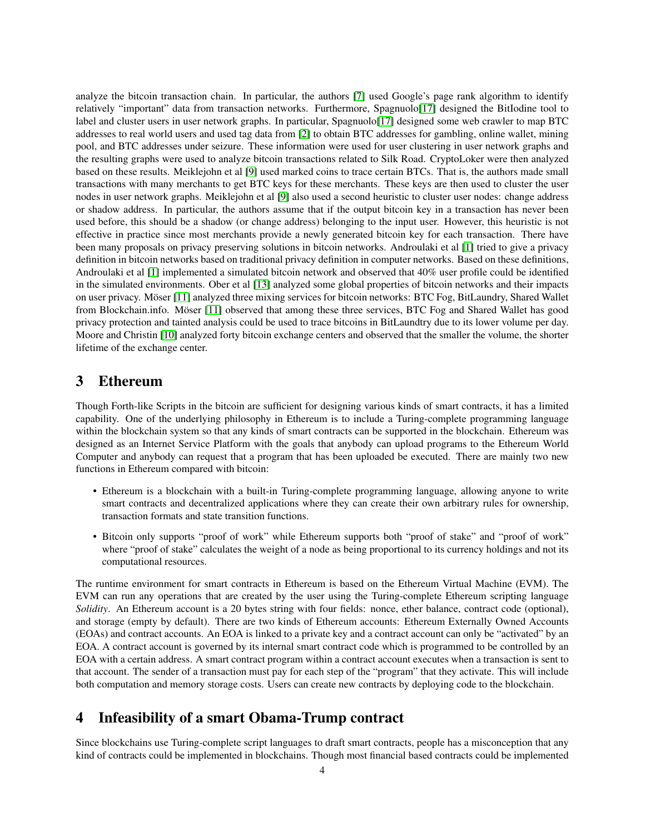analyze the bitcoin transaction chain. In particular, the authors [\[7\]](#page-6-8) used Google's page rank algorithm to identify relatively "important" data from transaction networks. Furthermore, Spagnuolo[\[17\]](#page-6-9) designed the BitIodine tool to label and cluster users in user network graphs. In particular, Spagnuolo[\[17\]](#page-6-9) designed some web crawler to map BTC addresses to real world users and used tag data from [\[2\]](#page-6-10) to obtain BTC addresses for gambling, online wallet, mining pool, and BTC addresses under seizure. These information were used for user clustering in user network graphs and the resulting graphs were used to analyze bitcoin transactions related to Silk Road. CryptoLoker were then analyzed based on these results. Meiklejohn et al [\[9\]](#page-6-11) used marked coins to trace certain BTCs. That is, the authors made small transactions with many merchants to get BTC keys for these merchants. These keys are then used to cluster the user nodes in user network graphs. Meiklejohn et al [\[9\]](#page-6-11) also used a second heuristic to cluster user nodes: change address or shadow address. In particular, the authors assume that if the output bitcoin key in a transaction has never been used before, this should be a shadow (or change address) belonging to the input user. However, this heuristic is not effective in practice since most merchants provide a newly generated bitcoin key for each transaction. There have been many proposals on privacy preserving solutions in bitcoin networks. Androulaki et al [\[1\]](#page-6-12) tried to give a privacy definition in bitcoin networks based on traditional privacy definition in computer networks. Based on these definitions, Androulaki et al [\[1\]](#page-6-12) implemented a simulated bitcoin network and observed that 40% user profile could be identified in the simulated environments. Ober et al [\[13\]](#page-6-13) analyzed some global properties of bitcoin networks and their impacts on user privacy. Möser [\[11\]](#page-6-14) analyzed three mixing services for bitcoin networks: BTC Fog, BitLaundry, Shared Wallet from Blockchain.info. Möser [\[11\]](#page-6-14) observed that among these three services, BTC Fog and Shared Wallet has good privacy protection and tainted analysis could be used to trace bitcoins in BitLaundtry due to its lower volume per day. Moore and Christin [\[10\]](#page-6-15) analyzed forty bitcoin exchange centers and observed that the smaller the volume, the shorter lifetime of the exchange center.

# 3 Ethereum

Though Forth-like Scripts in the bitcoin are sufficient for designing various kinds of smart contracts, it has a limited capability. One of the underlying philosophy in Ethereum is to include a Turing-complete programming language within the blockchain system so that any kinds of smart contracts can be supported in the blockchain. Ethereum was designed as an Internet Service Platform with the goals that anybody can upload programs to the Ethereum World Computer and anybody can request that a program that has been uploaded be executed. There are mainly two new functions in Ethereum compared with bitcoin:

- Ethereum is a blockchain with a built-in Turing-complete programming language, allowing anyone to write smart contracts and decentralized applications where they can create their own arbitrary rules for ownership, transaction formats and state transition functions.
- Bitcoin only supports "proof of work" while Ethereum supports both "proof of stake" and "proof of work" where "proof of stake" calculates the weight of a node as being proportional to its currency holdings and not its computational resources.

The runtime environment for smart contracts in Ethereum is based on the Ethereum Virtual Machine (EVM). The EVM can run any operations that are created by the user using the Turing-complete Ethereum scripting language *Solidity*. An Ethereum account is a 20 bytes string with four fields: nonce, ether balance, contract code (optional), and storage (empty by default). There are two kinds of Ethereum accounts: Ethereum Externally Owned Accounts (EOAs) and contract accounts. An EOA is linked to a private key and a contract account can only be "activated" by an EOA. A contract account is governed by its internal smart contract code which is programmed to be controlled by an EOA with a certain address. A smart contract program within a contract account executes when a transaction is sent to that account. The sender of a transaction must pay for each step of the "program" that they activate. This will include both computation and memory storage costs. Users can create new contracts by deploying code to the blockchain.

# 4 Infeasibility of a smart Obama-Trump contract

Since blockchains use Turing-complete script languages to draft smart contracts, people has a misconception that any kind of contracts could be implemented in blockchains. Though most financial based contracts could be implemented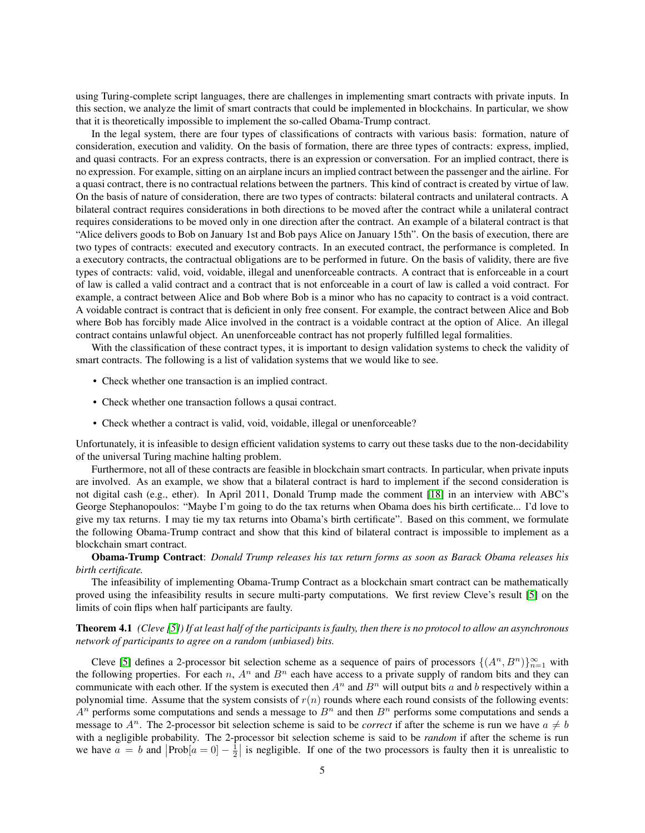using Turing-complete script languages, there are challenges in implementing smart contracts with private inputs. In this section, we analyze the limit of smart contracts that could be implemented in blockchains. In particular, we show that it is theoretically impossible to implement the so-called Obama-Trump contract.

In the legal system, there are four types of classifications of contracts with various basis: formation, nature of consideration, execution and validity. On the basis of formation, there are three types of contracts: express, implied, and quasi contracts. For an express contracts, there is an expression or conversation. For an implied contract, there is no expression. For example, sitting on an airplane incurs an implied contract between the passenger and the airline. For a quasi contract, there is no contractual relations between the partners. This kind of contract is created by virtue of law. On the basis of nature of consideration, there are two types of contracts: bilateral contracts and unilateral contracts. A bilateral contract requires considerations in both directions to be moved after the contract while a unilateral contract requires considerations to be moved only in one direction after the contract. An example of a bilateral contract is that "Alice delivers goods to Bob on January 1st and Bob pays Alice on January 15th". On the basis of execution, there are two types of contracts: executed and executory contracts. In an executed contract, the performance is completed. In a executory contracts, the contractual obligations are to be performed in future. On the basis of validity, there are five types of contracts: valid, void, voidable, illegal and unenforceable contracts. A contract that is enforceable in a court of law is called a valid contract and a contract that is not enforceable in a court of law is called a void contract. For example, a contract between Alice and Bob where Bob is a minor who has no capacity to contract is a void contract. A voidable contract is contract that is deficient in only free consent. For example, the contract between Alice and Bob where Bob has forcibly made Alice involved in the contract is a voidable contract at the option of Alice. An illegal contract contains unlawful object. An unenforceable contract has not properly fulfilled legal formalities.

With the classification of these contract types, it is important to design validation systems to check the validity of smart contracts. The following is a list of validation systems that we would like to see.

- Check whether one transaction is an implied contract.
- Check whether one transaction follows a qusai contract.
- Check whether a contract is valid, void, voidable, illegal or unenforceable?

Unfortunately, it is infeasible to design efficient validation systems to carry out these tasks due to the non-decidability of the universal Turing machine halting problem.

Furthermore, not all of these contracts are feasible in blockchain smart contracts. In particular, when private inputs are involved. As an example, we show that a bilateral contract is hard to implement if the second consideration is not digital cash (e.g., ether). In April 2011, Donald Trump made the comment [\[18\]](#page-7-0) in an interview with ABC's George Stephanopoulos: "Maybe I'm going to do the tax returns when Obama does his birth certificate... I'd love to give my tax returns. I may tie my tax returns into Obama's birth certificate". Based on this comment, we formulate the following Obama-Trump contract and show that this kind of bilateral contract is impossible to implement as a blockchain smart contract.

#### Obama-Trump Contract: *Donald Trump releases his tax return forms as soon as Barack Obama releases his birth certificate.*

The infeasibility of implementing Obama-Trump Contract as a blockchain smart contract can be mathematically proved using the infeasibility results in secure multi-party computations. We first review Cleve's result [\[5\]](#page-6-16) on the limits of coin flips when half participants are faulty.

#### Theorem 4.1 *(Cleve [\[5\]](#page-6-16)) If at least half of the participants is faulty, then there is no protocol to allow an asynchronous network of participants to agree on a random (unbiased) bits.*

Cleve [\[5\]](#page-6-16) defines a 2-processor bit selection scheme as a sequence of pairs of processors  $\{(A^n, B^n)\}_{n=1}^{\infty}$  with the following properties. For each n,  $A^n$  and  $B^n$  each have access to a private supply of random bits and they can communicate with each other. If the system is executed then  $A^n$  and  $B^n$  will output bits a and b respectively within a polynomial time. Assume that the system consists of  $r(n)$  rounds where each round consists of the following events:  $A<sup>n</sup>$  performs some computations and sends a message to  $B<sup>n</sup>$  and then  $B<sup>n</sup>$  performs some computations and sends a message to  $A^n$ . The 2-processor bit selection scheme is said to be *correct* if after the scheme is run we have  $a \neq b$ with a negligible probability. The 2-processor bit selection scheme is said to be *random* if after the scheme is run we have  $a = b$  and  $|Prob[a = 0] - \frac{1}{2}|$  is negligible. If one of the two processors is faulty then it is unrealistic to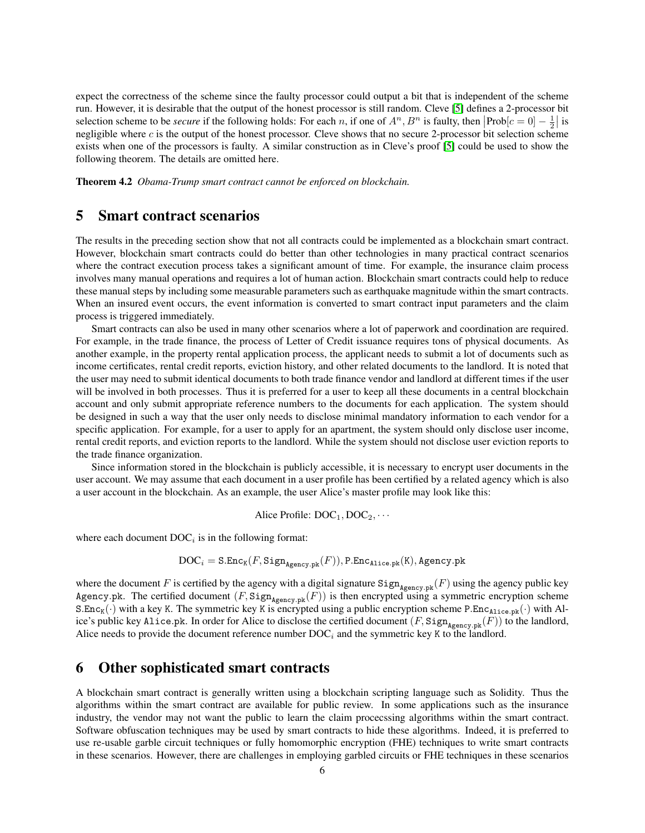expect the correctness of the scheme since the faulty processor could output a bit that is independent of the scheme run. However, it is desirable that the output of the honest processor is still random. Cleve [\[5\]](#page-6-16) defines a 2-processor bit selection scheme to be *secure* if the following holds: For each *n*, if one of  $A^n$ ,  $B^n$  is faulty, then  $\left|\text{Prob}[c=0] - \frac{1}{2}\right|$  is negligible where c is the output of the honest processor. Cleve shows that no secure 2-processor bit selection scheme exists when one of the processors is faulty. A similar construction as in Cleve's proof [\[5\]](#page-6-16) could be used to show the following theorem. The details are omitted here.

Theorem 4.2 *Obama-Trump smart contract cannot be enforced on blockchain.*

## 5 Smart contract scenarios

The results in the preceding section show that not all contracts could be implemented as a blockchain smart contract. However, blockchain smart contracts could do better than other technologies in many practical contract scenarios where the contract execution process takes a significant amount of time. For example, the insurance claim process involves many manual operations and requires a lot of human action. Blockchain smart contracts could help to reduce these manual steps by including some measurable parameters such as earthquake magnitude within the smart contracts. When an insured event occurs, the event information is converted to smart contract input parameters and the claim process is triggered immediately.

Smart contracts can also be used in many other scenarios where a lot of paperwork and coordination are required. For example, in the trade finance, the process of Letter of Credit issuance requires tons of physical documents. As another example, in the property rental application process, the applicant needs to submit a lot of documents such as income certificates, rental credit reports, eviction history, and other related documents to the landlord. It is noted that the user may need to submit identical documents to both trade finance vendor and landlord at different times if the user will be involved in both processes. Thus it is preferred for a user to keep all these documents in a central blockchain account and only submit appropriate reference numbers to the documents for each application. The system should be designed in such a way that the user only needs to disclose minimal mandatory information to each vendor for a specific application. For example, for a user to apply for an apartment, the system should only disclose user income, rental credit reports, and eviction reports to the landlord. While the system should not disclose user eviction reports to the trade finance organization.

Since information stored in the blockchain is publicly accessible, it is necessary to encrypt user documents in the user account. We may assume that each document in a user profile has been certified by a related agency which is also a user account in the blockchain. As an example, the user Alice's master profile may look like this:

Alice Profile:  $DOC_1,DOC_2,\cdots$ 

where each document  $DOC<sub>i</sub>$  is in the following format:

$$
\text{DOC}_i = \texttt{S}.\texttt{Enc}_{\texttt{K}}(F, \texttt{Sign}_{\texttt{Agency}, \texttt{pk}}(F)), \texttt{P}.\texttt{Enc}_{\texttt{Alice}, \texttt{pk}}(\texttt{K}), \texttt{Agency}, \texttt{pk}
$$

where the document F is certified by the agency with a digital signature  $\text{Sign}_{\text{Agency}}(F)$  using the agency public key Agency.pk. The certified document  $(F, \text{Sign}_{\text{Agency},pk}(F))$  is then encrypted using a symmetric encryption scheme  $S.Enc_K(\cdot)$  with a key K. The symmetric key K is encrypted using a public encryption scheme P.Enc<sub>Alice.pk</sub> $(\cdot)$  with Alice's public key Alice.pk. In order for Alice to disclose the certified document  $(F, \text{Sign}_{\text{Agency}, \text{pk}}(F))$  to the landlord, Alice needs to provide the document reference number  $DOC<sub>i</sub>$  and the symmetric key K to the landlord.

### 6 Other sophisticated smart contracts

A blockchain smart contract is generally written using a blockchain scripting language such as Solidity. Thus the algorithms within the smart contract are available for public review. In some applications such as the insurance industry, the vendor may not want the public to learn the claim procecssing algorithms within the smart contract. Software obfuscation techniques may be used by smart contracts to hide these algorithms. Indeed, it is preferred to use re-usable garble circuit techniques or fully homomorphic encryption (FHE) techniques to write smart contracts in these scenarios. However, there are challenges in employing garbled circuits or FHE techniques in these scenarios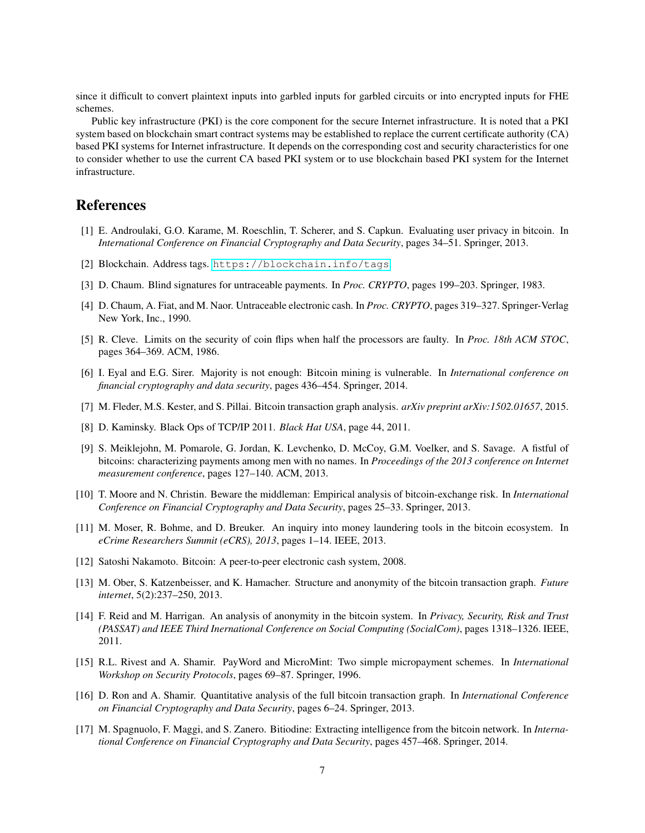since it difficult to convert plaintext inputs into garbled inputs for garbled circuits or into encrypted inputs for FHE schemes.

Public key infrastructure (PKI) is the core component for the secure Internet infrastructure. It is noted that a PKI system based on blockchain smart contract systems may be established to replace the current certificate authority (CA) based PKI systems for Internet infrastructure. It depends on the corresponding cost and security characteristics for one to consider whether to use the current CA based PKI system or to use blockchain based PKI system for the Internet infrastructure.

### References

- <span id="page-6-12"></span>[1] E. Androulaki, G.O. Karame, M. Roeschlin, T. Scherer, and S. Capkun. Evaluating user privacy in bitcoin. In *International Conference on Financial Cryptography and Data Security*, pages 34–51. Springer, 2013.
- <span id="page-6-10"></span>[2] Blockchain. Address tags. <https://blockchain.info/tags>.
- <span id="page-6-0"></span>[3] D. Chaum. Blind signatures for untraceable payments. In *Proc. CRYPTO*, pages 199–203. Springer, 1983.
- <span id="page-6-1"></span>[4] D. Chaum, A. Fiat, and M. Naor. Untraceable electronic cash. In *Proc. CRYPTO*, pages 319–327. Springer-Verlag New York, Inc., 1990.
- <span id="page-6-16"></span>[5] R. Cleve. Limits on the security of coin flips when half the processors are faulty. In *Proc. 18th ACM STOC*, pages 364–369. ACM, 1986.
- <span id="page-6-4"></span>[6] I. Eyal and E.G. Sirer. Majority is not enough: Bitcoin mining is vulnerable. In *International conference on financial cryptography and data security*, pages 436–454. Springer, 2014.
- <span id="page-6-8"></span>[7] M. Fleder, M.S. Kester, and S. Pillai. Bitcoin transaction graph analysis. *arXiv preprint arXiv:1502.01657*, 2015.
- <span id="page-6-6"></span>[8] D. Kaminsky. Black Ops of TCP/IP 2011. *Black Hat USA*, page 44, 2011.
- <span id="page-6-11"></span>[9] S. Meiklejohn, M. Pomarole, G. Jordan, K. Levchenko, D. McCoy, G.M. Voelker, and S. Savage. A fistful of bitcoins: characterizing payments among men with no names. In *Proceedings of the 2013 conference on Internet measurement conference*, pages 127–140. ACM, 2013.
- <span id="page-6-15"></span>[10] T. Moore and N. Christin. Beware the middleman: Empirical analysis of bitcoin-exchange risk. In *International Conference on Financial Cryptography and Data Security*, pages 25–33. Springer, 2013.
- <span id="page-6-14"></span>[11] M. Moser, R. Bohme, and D. Breuker. An inquiry into money laundering tools in the bitcoin ecosystem. In *eCrime Researchers Summit (eCRS), 2013*, pages 1–14. IEEE, 2013.
- <span id="page-6-3"></span>[12] Satoshi Nakamoto. Bitcoin: A peer-to-peer electronic cash system, 2008.
- <span id="page-6-13"></span>[13] M. Ober, S. Katzenbeisser, and K. Hamacher. Structure and anonymity of the bitcoin transaction graph. *Future internet*, 5(2):237–250, 2013.
- <span id="page-6-5"></span>[14] F. Reid and M. Harrigan. An analysis of anonymity in the bitcoin system. In *Privacy, Security, Risk and Trust (PASSAT) and IEEE Third Inernational Conference on Social Computing (SocialCom)*, pages 1318–1326. IEEE, 2011.
- <span id="page-6-2"></span>[15] R.L. Rivest and A. Shamir. PayWord and MicroMint: Two simple micropayment schemes. In *International Workshop on Security Protocols*, pages 69–87. Springer, 1996.
- <span id="page-6-7"></span>[16] D. Ron and A. Shamir. Quantitative analysis of the full bitcoin transaction graph. In *International Conference on Financial Cryptography and Data Security*, pages 6–24. Springer, 2013.
- <span id="page-6-9"></span>[17] M. Spagnuolo, F. Maggi, and S. Zanero. Bitiodine: Extracting intelligence from the bitcoin network. In *International Conference on Financial Cryptography and Data Security*, pages 457–468. Springer, 2014.